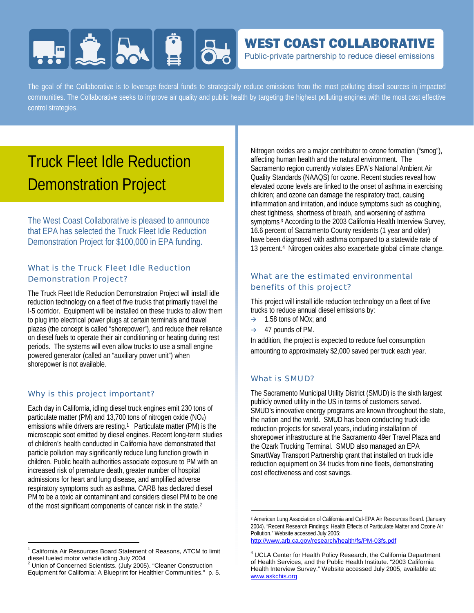# **HERE AND BU**

### **WEST COAST COLLABORATIVE**

Public-private partnership to reduce diesel emissions

The goal of the Collaborative is to leverage federal funds to strategically reduce emissions from the most polluting diesel sources in impacted communities. The Collaborative seeks to improve air quality and public health by targeting the highest polluting engines with the most cost effective control strategies.

## Truck Fleet Idle Reduction Demonstration Project

The West Coast Collaborative is pleased to announce that EPA has selected the Truck Fleet Idle Reduction Demonstration Project for \$100,000 in EPA funding.

#### What is the Truck Fleet Idle Reduction Demonstration Project?

The Truck Fleet Idle Reduction Demonstration Project will install idle reduction technology on a fleet of five trucks that primarily travel the I-5 corridor. Equipment will be installed on these trucks to allow them to plug into electrical power plugs at certain terminals and travel plazas (the concept is called "shorepower"), and reduce their reliance on diesel fuels to operate their air conditioning or heating during rest periods. The systems will even allow trucks to use a small engine powered generator (called an "auxiliary power unit") when shorepower is not available.

#### Why is this project important?

 $\overline{a}$ 

Each day in California, idling diesel truck engines emit 230 tons of particulate matter (PM) and 13,700 tons of nitrogen oxide (NOx) emissions while drivers are resting.<sup>1</sup> Particulate matter (PM) is the microscopic soot emitted by diesel engines. Recent long-term studies of children's health conducted in California have demonstrated that particle pollution may significantly reduce lung function growth in children. Public health authorities associate exposure to PM with an increased risk of premature death, greater number of hospital admissions for heart and lung disease, and amplified adverse respiratory symptoms such as asthma. CARB has declared diesel PM to be a toxic air contaminant and considers diesel PM to be one of the most significant components of cancer risk in the state.2

Nitrogen oxides are a major contributor to ozone formation ("smog"), affecting human health and the natural environment. The Sacramento region currently violates EPA's National Ambient Air Quality Standards (NAAQS) for ozone. Recent studies reveal how elevated ozone levels are linked to the onset of asthma in exercising children; and ozone can damage the respiratory tract, causing inflammation and irritation, and induce symptoms such as coughing, chest tightness, shortness of breath, and worsening of asthma symptoms.<sup>3</sup> According to the 2003 California Health Interview Survey, 16.6 percent of Sacramento County residents (1 year and older) have been diagnosed with asthma compared to a statewide rate of 13 percent.4 Nitrogen oxides also exacerbate global climate change.

#### What are the estimated environmental benefits of this project?

This project will install idle reduction technology on a fleet of five trucks to reduce annual diesel emissions by:

- $\rightarrow$  1.58 tons of NO<sub>x</sub>; and
- $\rightarrow$  47 pounds of PM.

In addition, the project is expected to reduce fuel consumption amounting to approximately \$2,000 saved per truck each year.

#### What is SMUD?

 $\overline{a}$ 

The Sacramento Municipal Utility District (SMUD) is the sixth largest publicly owned utility in the US in terms of customers served. SMUD's innovative energy programs are known throughout the state, the nation and the world. SMUD has been conducting truck idle reduction projects for several years, including installation of shorepower infrastructure at the Sacramento 49er Travel Plaza and the Ozark Trucking Terminal. SMUD also managed an EPA SmartWay Transport Partnership grant that installed on truck idle reduction equipment on 34 trucks from nine fleets, demonstrating cost effectiveness and cost savings.

http://www.arb.ca.gov/research/health/fs/PM-03fs.pdf

<sup>&</sup>lt;sup>1</sup> California Air Resources Board Statement of Reasons, ATCM to limit diesel fueled motor vehicle idling July 2004

<sup>&</sup>lt;sup>2</sup> Union of Concerned Scientists. (July 2005). "Cleaner Construction Equipment for California: A Blueprint for Healthier Communities." p. 5.

<sup>3</sup> American Lung Association of California and Cal-EPA Air Resources Board. (January 2004). "Recent Research Findings: Health Effects of Particulate Matter and Ozone Air Pollution." Website accessed July 2005:

<sup>4</sup> UCLA Center for Health Policy Research, the California Department of Health Services, and the Public Health Institute. "2003 California Health Interview Survey." Website accessed July 2005, available at: www.askchis.org